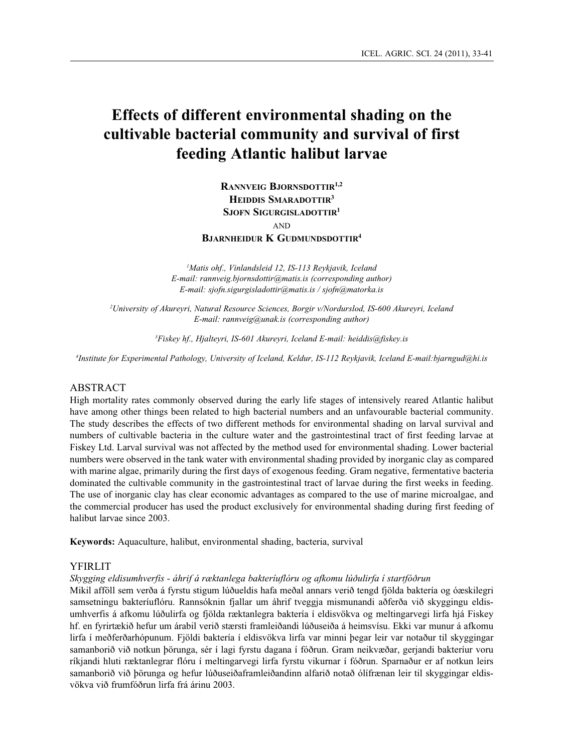# **Effects of different environmental shading on the cultivable bacterial community and survival of first feeding Atlantic halibut larvae**

**Rannveig Bjornsdottir1,2 Heiddis Smaradottir<sup>3</sup> Sjofn Sigurgisladottir<sup>1</sup> AND** 

**Bjarnheidur K Gudmundsdottir<sup>4</sup>**

*1 Matis ohf., Vinlandsleid 12, IS-113 Reykjavik, Iceland E-mail: rannveig.bjornsdottir@matis.is (corresponding author) E-mail: sjofn.sigurgisladottir@matis.is / sjofn@matorka.is* 

*2 University of Akureyri, Natural Resource Sciences, Borgir v/Nordurslod, IS-600 Akureyri, Iceland E-mail: rannveig@unak.is (corresponding author)*

*3 Fiskey hf., Hjalteyri, IS-601 Akureyri, Iceland E-mail: heiddis@fiskey.is* 

*4 Institute for Experimental Pathology, University of Iceland, Keldur, IS-112 Reykjavik, Iceland E-mail:bjarngud@hi.is*

## ABSTRACT

High mortality rates commonly observed during the early life stages of intensively reared Atlantic halibut have among other things been related to high bacterial numbers and an unfavourable bacterial community. The study describes the effects of two different methods for environmental shading on larval survival and numbers of cultivable bacteria in the culture water and the gastrointestinal tract of first feeding larvae at Fiskey Ltd. Larval survival was not affected by the method used for environmental shading. Lower bacterial numbers were observed in the tank water with environmental shading provided by inorganic clay as compared with marine algae, primarily during the first days of exogenous feeding. Gram negative, fermentative bacteria dominated the cultivable community in the gastrointestinal tract of larvae during the first weeks in feeding. The use of inorganic clay has clear economic advantages as compared to the use of marine microalgae, and the commercial producer has used the product exclusively for environmental shading during first feeding of halibut larvae since 2003.

**Keywords:** Aquaculture, halibut, environmental shading, bacteria, survival

#### YFIRLIT

*Skygging eldisumhverfis - áhrif á ræktanlega bakteríuflóru og afkomu lúðulirfa í startfóðrun* 

Mikil afföll sem verða á fyrstu stigum lúðueldis hafa meðal annars verið tengd fjölda baktería og óæskilegri samsetningu bakteríuflóru. Rannsóknin fjallar um áhrif tveggja mismunandi aðferða við skyggingu eldisumhverfis á afkomu lúðulirfa og fjölda ræktanlegra baktería í eldisvökva og meltingarvegi lirfa hjá Fiskey hf. en fyrirtækið hefur um árabil verið stærsti framleiðandi lúðuseiða á heimsvísu. Ekki var munur á afkomu lirfa í meðferðarhópunum. Fjöldi baktería í eldisvökva lirfa var minni þegar leir var notaður til skyggingar samanborið við notkun þörunga, sér í lagi fyrstu dagana í fóðrun. Gram neikvæðar, gerjandi bakteríur voru ríkjandi hluti ræktanlegrar flóru í meltingarvegi lirfa fyrstu vikurnar í fóðrun. Sparnaður er af notkun leirs samanborið við þörunga og hefur lúðuseiðaframleiðandinn alfarið notað ólífrænan leir til skyggingar eldisvökva við frumfóðrun lirfa frá árinu 2003.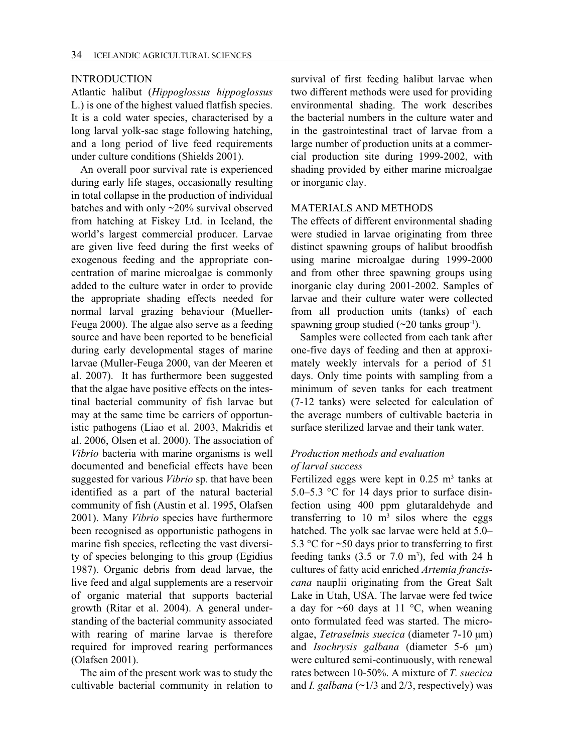#### INTRODUCTION

Atlantic halibut (*Hippoglossus hippoglossus* L.) is one of the highest valued flatfish species. It is a cold water species, characterised by a long larval yolk-sac stage following hatching, and a long period of live feed requirements under culture conditions (Shields 2001).

An overall poor survival rate is experienced during early life stages, occasionally resulting in total collapse in the production of individual batches and with only ~20% survival observed from hatching at Fiskey Ltd. in Iceland, the world's largest commercial producer. Larvae are given live feed during the first weeks of exogenous feeding and the appropriate concentration of marine microalgae is commonly added to the culture water in order to provide the appropriate shading effects needed for normal larval grazing behaviour (Mueller-Feuga 2000). The algae also serve as a feeding source and have been reported to be beneficial during early developmental stages of marine larvae (Muller-Feuga 2000, van der Meeren et al. 2007). It has furthermore been suggested that the algae have positive effects on the intestinal bacterial community of fish larvae but may at the same time be carriers of opportunistic pathogens (Liao et al. 2003, Makridis et al. 2006, Olsen et al. 2000). The association of *Vibrio* bacteria with marine organisms is well documented and beneficial effects have been suggested for various *Vibrio* sp. that have been identified as a part of the natural bacterial community of fish (Austin et al. 1995, Olafsen 2001). Many *Vibrio* species have furthermore been recognised as opportunistic pathogens in marine fish species, reflecting the vast diversity of species belonging to this group (Egidius 1987). Organic debris from dead larvae, the live feed and algal supplements are a reservoir of organic material that supports bacterial growth (Ritar et al. 2004). A general understanding of the bacterial community associated with rearing of marine larvae is therefore required for improved rearing performances (Olafsen 2001).

The aim of the present work was to study the cultivable bacterial community in relation to survival of first feeding halibut larvae when two different methods were used for providing environmental shading. The work describes the bacterial numbers in the culture water and in the gastrointestinal tract of larvae from a large number of production units at a commercial production site during 1999-2002, with shading provided by either marine microalgae or inorganic clay.

## MATERIALS AND METHODS

The effects of different environmental shading were studied in larvae originating from three distinct spawning groups of halibut broodfish using marine microalgae during 1999-2000 and from other three spawning groups using inorganic clay during 2001-2002. Samples of larvae and their culture water were collected from all production units (tanks) of each spawning group studied  $(\sim 20 \text{ tanks group}^{-1})$ .

Samples were collected from each tank after one-five days of feeding and then at approximately weekly intervals for a period of 51 days. Only time points with sampling from a minimum of seven tanks for each treatment (7-12 tanks) were selected for calculation of the average numbers of cultivable bacteria in surface sterilized larvae and their tank water.

# *Production methods and evaluation of larval success*

Fertilized eggs were kept in  $0.25$  m<sup>3</sup> tanks at 5.0–5.3 °C for 14 days prior to surface disinfection using 400 ppm glutaraldehyde and transferring to  $10 \text{ m}^3$  silos where the eggs hatched. The yolk sac larvae were held at 5.0– 5.3 °C for ~50 days prior to transferring to first feeding tanks  $(3.5 \text{ or } 7.0 \text{ m}^3)$ , fed with 24 h cultures of fatty acid enriched *Artemia franciscana* nauplii originating from the Great Salt Lake in Utah, USA. The larvae were fed twice a day for  $\sim 60$  days at 11 °C, when weaning onto formulated feed was started. The microalgae, *Tetraselmis suecica* (diameter 7-10 µm) and *Isochrysis galbana* (diameter 5-6 µm) were cultured semi-continuously, with renewal rates between 10-50%. A mixture of *T. suecica*  and *I. galbana*  $(\sim 1/3$  and  $2/3$ , respectively) was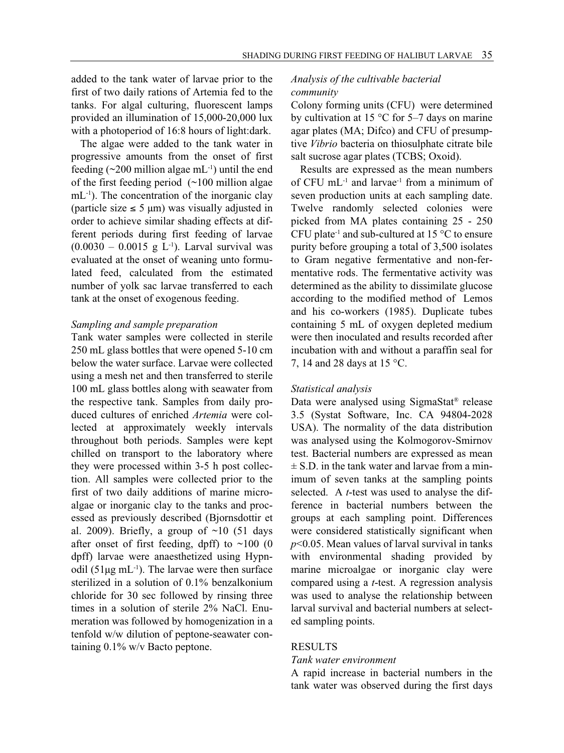added to the tank water of larvae prior to the first of two daily rations of Artemia fed to the tanks. For algal culturing, fluorescent lamps provided an illumination of 15,000-20,000 lux with a photoperiod of 16:8 hours of light:dark.

The algae were added to the tank water in progressive amounts from the onset of first feeding  $(\sim 200$  million algae mL<sup>-1</sup>) until the end of the first feeding period (~100 million algae mL<sup>-1</sup>). The concentration of the inorganic clay (particle size  $\leq$  5 µm) was visually adjusted in order to achieve similar shading effects at different periods during first feeding of larvae  $(0.0030 - 0.0015 \text{ g L}^{-1})$ . Larval survival was evaluated at the onset of weaning unto formulated feed, calculated from the estimated number of yolk sac larvae transferred to each tank at the onset of exogenous feeding.

## *Sampling and sample preparation*

Tank water samples were collected in sterile 250 mL glass bottles that were opened 5-10 cm below the water surface. Larvae were collected using a mesh net and then transferred to sterile 100 mL glass bottles along with seawater from the respective tank. Samples from daily produced cultures of enriched *Artemia* were collected at approximately weekly intervals throughout both periods. Samples were kept chilled on transport to the laboratory where they were processed within 3-5 h post collection. All samples were collected prior to the first of two daily additions of marine microalgae or inorganic clay to the tanks and processed as previously described (Bjornsdottir et al. 2009). Briefly, a group of  $\sim$ 10 (51 days after onset of first feeding, dpff) to  $\sim$ 100 (0 dpff) larvae were anaesthetized using Hypnodil ( $51\mu$ g mL<sup>-1</sup>). The larvae were then surface sterilized in a solution of 0.1% benzalkonium chloride for 30 sec followed by rinsing three times in a solution of sterile 2% NaCl. Enumeration was followed by homogenization in a tenfold w/w dilution of peptone-seawater containing 0.1% w/v Bacto peptone.

# *Analysis of the cultivable bacterial community*

Colony forming units (CFU) were determined by cultivation at 15  $\degree$ C for 5-7 days on marine agar plates (MA; Difco) and CFU of presumptive *Vibrio* bacteria on thiosulphate citrate bile salt sucrose agar plates (TCBS; Oxoid).

Results are expressed as the mean numbers of CFU  $mL^{-1}$  and larvae<sup>-1</sup> from a minimum of seven production units at each sampling date. Twelve randomly selected colonies were picked from MA plates containing 25 - 250 CFU plate<sup>-1</sup> and sub-cultured at 15  $\rm{^{\circ}C}$  to ensure purity before grouping a total of 3,500 isolates to Gram negative fermentative and non-fermentative rods. The fermentative activity was determined as the ability to dissimilate glucose according to the modified method of Lemos and his co-workers (1985). Duplicate tubes containing 5 mL of oxygen depleted medium were then inoculated and results recorded after incubation with and without a paraffin seal for 7, 14 and 28 days at 15 °C.

#### *Statistical analysis*

Data were analysed using SigmaStat® release 3.5 (Systat Software, Inc. CA 94804-2028 USA). The normality of the data distribution was analysed using the Kolmogorov-Smirnov test. Bacterial numbers are expressed as mean  $\pm$  S.D. in the tank water and larvae from a minimum of seven tanks at the sampling points selected. A *t*-test was used to analyse the difference in bacterial numbers between the groups at each sampling point. Differences were considered statistically significant when *p*<0.05. Mean values of larval survival in tanks with environmental shading provided by marine microalgae or inorganic clay were compared using a *t*-test. A regression analysis was used to analyse the relationship between larval survival and bacterial numbers at selected sampling points.

## RESULTS

#### *Tank water environment*

A rapid increase in bacterial numbers in the tank water was observed during the first days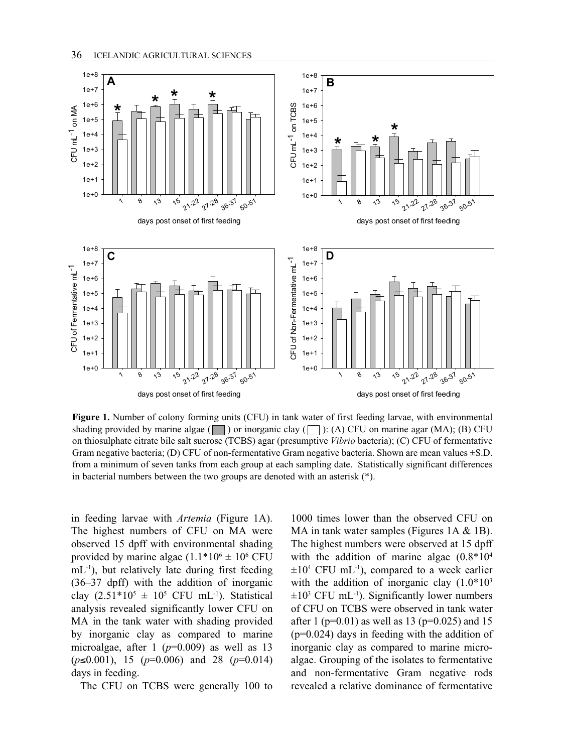

Figure 1. Number of colony forming units (CFU) in tank water of first feeding larvae, with environmental on thiosulphate citrate bile salt sucrose (TCBS) agar (presumptive *Vibrio* bacteria); (C) CFU of fermentative in a minimum of seven tanks from each group at each sampling date. Statistically significant directness<br>in bacterial numbers between the two groups are denoted with an asterisk (\*). shading provided by marine algae ( $\Box$ ) or inorganic clay ( $\Box$ ): (A) CFU on marine agar (MA); (B) CFU Gram negative bacteria; (D) CFU of non-fermentative Gram negative bacteria. Shown are mean values  $\pm$ S.D. from a minimum of seven tanks from each group at each sampling date. Statistically significant differences

The highest numbers of CFU on MA were MA in tank water samples (Fig. observed 15 dpff with environmental shading provided by marine algae  $(1.1*10<sup>6</sup> \pm 10<sup>6</sup>$  CFU  $mL^{-1}$ ), but relatively late during first feeding  $(36-37 \text{ dpff})$  with the addition of inorganic clay  $(2.51*10^5 \pm 10^5 \text{ CFU} \text{ mL}^{-1})$ . Statistical analysis revealed significantly lower CFU on MA in the tank water with shading provided by inorganic clay as compared to marine microalgae, after 1 ( $p=0.009$ ) as well as 13 (*p*≤0.001), 15 (*p*=0.006) and 28 (*p*=0.014) days in feeding.

The CFU on TCBS were generally 100 to

in feeding larvae with *Artemia* (Figure 1A). 1000 times lower than the observed CFU on<br>The highest graduate of CFU and A a set and instead, at the research (City and A  $\beta$  4D) 1000 times lower than the observed CFU on MA in tank water samples (Figures 1A & 1B). observed 15 dpff with environmental shading The highest numbers were observed at 15 dpff  $\frac{11.1 \text{ h}}{20.8 \times 10^{4} \text{ m}}$  The highest numbers were observed at 15 dpff with the addition of marine algae  $(0.8*10<sup>4</sup>)$  $\pm 10^4$  CFU mL<sup>-1</sup>), compared to a week earlier with the addition of inorganic clay  $(1.0*10<sup>3</sup>)$  $\pm 10^3$  CFU mL<sup>-1</sup>). Significantly lower numbers of CFU on TCBS were observed in tank water after 1 ( $p=0.01$ ) as well as 13 ( $p=0.025$ ) and 15 (p=0.024) days in feeding with the addition of inorganic clay as compared to marine microalgae. Grouping of the isolates to fermentative and non-fermentative Gram negative rods revealed a relative dominance of fermentative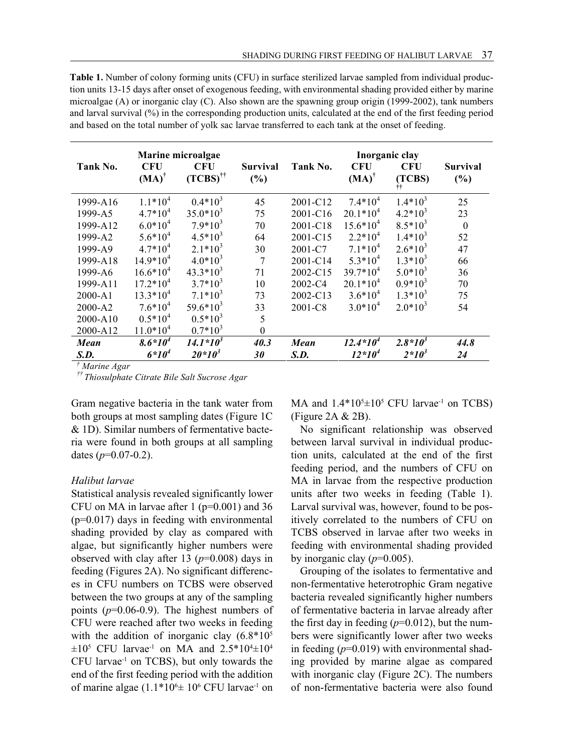**Table 1.** Number of colony forming units (CFU) in surface sterilized larvae sampled from individual producmicroalgae (A) or inorganic clay (C). Also shown are the spawning group origin (1999-2002), tank numbers  $\frac{1}{2}$ tion units 13-15 days after onset of exogenous feeding, with environmental shading provided either by marine and larval survival (%) in the corresponding production units, calculated at the end of the first feeding period and based on the total number of yolk sac larvae transferred to each tank at the onset of feeding.

| Tank No. | Marine microalgae<br><b>CFU</b><br><b>CFU</b> |                           | <b>Survival</b> | Tank No.    | Inorganic clay<br><b>CFU</b><br><b>CFU</b> |              | <b>Survival</b> |
|----------|-----------------------------------------------|---------------------------|-----------------|-------------|--------------------------------------------|--------------|-----------------|
|          | $(MA)^{\dagger}$                              | $(TCBS)^{\dagger\dagger}$ | (%)             |             | $(MA)^{\dagger}$                           | (TCBS)<br>Ħ  | (%)             |
| 1999-A16 | $1.1*104$                                     | $0.4*10^3$                | 45              | 2001-C12    | $7.4*10^{4}$                               | $1.4*10^3$   | 25              |
| 1999-A5  | $4.7*10^{4}$                                  | $35.0*10^3$               | 75              | 2001-C16    | $20.1*10^{4}$                              | $4.2*10^3$   | 23              |
| 1999-A12 | $6.0*10^{4}$                                  | $7.9*10^3$                | 70              | 2001-C18    | $15.6*10^{4}$                              | $8.5*10^3$   | $\theta$        |
| 1999-A2  | $5.6*10^{4}$                                  | $4.5*10^{3}$              | 64              | 2001-C15    | $2.2*104$                                  | $1.4*10^3$   | 52              |
| 1999-A9  | $4.7*10^{4}$                                  | $2.1*10^3$                | 30              | 2001-C7     | $7.1*10^{4}$                               | $2.6*10^3$   | 47              |
| 1999-A18 | $14.9*10^{4}$                                 | $4.0*10^3$                | $\overline{7}$  | 2001-C14    | $5.3*10^{4}$                               | $1.3*10^3$   | 66              |
| 1999-A6  | $16.6*10^{4}$                                 | $43.3*10^3$               | 71              | 2002-C15    | $39.7*10^{4}$                              | $5.0*10^3$   | 36              |
| 1999-A11 | $17.2*10^{4}$                                 | $3.7*10^3$                | 10              | $2002 - C4$ | $20.1*10^{4}$                              | $0.9*10^3$   | 70              |
| 2000-A1  | $13.3*10^{4}$                                 | $7.1*10^3$                | 73              | 2002-C13    | $3.6*10^{4}$                               | $1.3*10^3$   | 75              |
| 2000-A2  | $7.6*10^{4}$                                  | $59.6*10^3$               | 33              | 2001-C8     | $3.0*10^{4}$                               | $2.0*10^3$   | 54              |
| 2000-A10 | $0.5*10^{4}$                                  | $0.5*10^3$                | 5               |             |                                            |              |                 |
| 2000-A12 | $11.0*10^{4}$                                 | $0.7*10^3$                | $\mathbf{0}$    |             |                                            |              |                 |
| Mean     | $8.6*10^{4}$                                  | $14.1*10^{3}$             | 40.3            | Mean        | $12.4*10^{4}$                              | $2.8*10^{3}$ | 44.8            |
| S.D.     | $6*10^4$                                      | $20*10^3$                 | 30              | S.D.        | $12*10^4$                                  | $2*10^3$     | 24              |
|          |                                               |                           |                 |             |                                            |              |                 |

*† Marine Agar* 

*†† Thiosulphate Citrate Bile Salt Sucrose Agar* 

Gram negative bacteria in the tank water from both groups at most sampling dates (Figure 1C & 1D). Similar numbers of fermentative bacteria were found in both groups at all sampling dates (*p*=0.07-0.2).

#### *Halibut larvae*

Statistical analysis revealed significantly lower CFU on MA in larvae after 1 ( $p=0.001$ ) and 36 (p=0.017) days in feeding with environmental shading provided by clay as compared with algae, but significantly higher numbers were observed with clay after 13 (*p*=0.008) days in feeding (Figures 2A). No significant differences in CFU numbers on TCBS were observed between the two groups at any of the sampling points  $(p=0.06-0.9)$ . The highest numbers of CFU were reached after two weeks in feeding with the addition of inorganic clay  $(6.8*10<sup>5</sup>)$  $\pm 10^5$  CFU larvae<sup>-1</sup> on MA and 2.5\*10<sup>4</sup> $\pm 10^4$ CFU larvae-1 on TCBS), but only towards the end of the first feeding period with the addition of marine algae  $(1.1*10<sup>6</sup> \pm 10<sup>6</sup>$  CFU larvae<sup>-1</sup> on

MA and  $1.4*10<sup>5</sup> \pm 10<sup>5</sup>$  CFU larvae<sup>-1</sup> on TCBS) (Figure 2A & 2B).

No significant relationship was observed between larval survival in individual production units, calculated at the end of the first feeding period, and the numbers of CFU on MA in larvae from the respective production units after two weeks in feeding (Table 1). Larval survival was, however, found to be positively correlated to the numbers of CFU on TCBS observed in larvae after two weeks in feeding with environmental shading provided by inorganic clay  $(p=0.005)$ .

Grouping of the isolates to fermentative and non-fermentative heterotrophic Gram negative bacteria revealed significantly higher numbers of fermentative bacteria in larvae already after the first day in feeding  $(p=0.012)$ , but the numbers were significantly lower after two weeks in feeding  $(p=0.019)$  with environmental shading provided by marine algae as compared with inorganic clay (Figure 2C). The numbers of non-fermentative bacteria were also found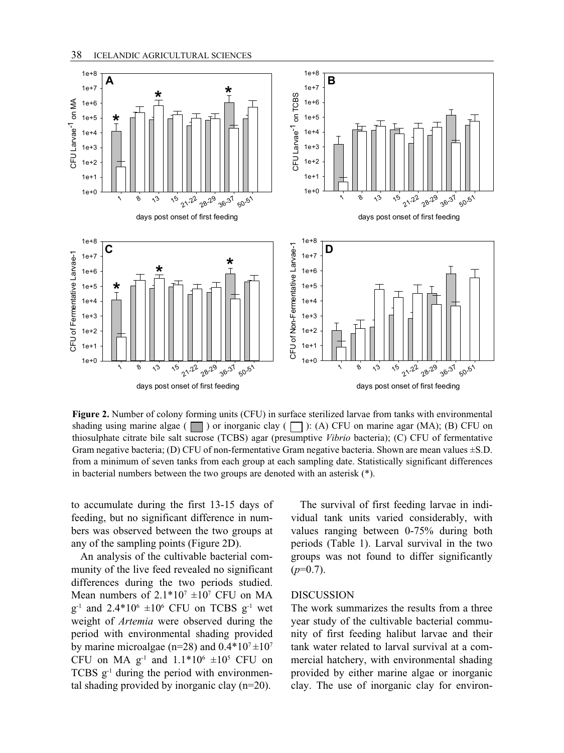

Figure 2. Number of colony forming units (CFU) in surface sterilized larvae from tanks with environmental thiosulphate citrate bile salt sucrose (TCBS) agar (presumptive *Vibrio* bacteria); (C) CFU of fermentative from a minimum of seven tanks from each group at each sampling date. Statistically significant differences shading using marine algae ( $\Box$ ) or inorganic clay ( $\Box$ ): (A) CFU on marine agar (MA); (B) CFU on Gram negative bacteria; (D) CFU of non-fermentative Gram negative bacteria. Shown are mean values  $\pm$ S.D. in bacterial numbers between the two groups are denoted with an asterisk  $(*)$ .

to accumulate during the first 13-15 days of The survival of first fe feeding, but no significant difference in num-<br>vidual tank units varied bers was observed between the two groups at any of the sampling points (Figure 2D). to accumulate during the first 13-15 days of The survival of first fee feeding, but no significant difference in num-<br>bers was observed between the two groups at values ranging between any of the sampling points (Figure 2D

An analysis of the cultivable bacterial community of the live feed revealed no significant differences during the two periods studied. Mean numbers of  $2.1*10<sup>7</sup> \pm 10<sup>7</sup>$  CFU on MA  $g^{-1}$  and 2.4\*10<sup>6</sup>  $\pm 10^6$  CFU on TCBS  $g^{-1}$  wet weight of *Artemia* were observed during the period with environmental shading provided by marine microalgae (n=28) and  $0.4*10<sup>7</sup> \pm 10<sup>7</sup>$ CFU on MA  $g^{-1}$  and  $1.1*10^6 \pm 10^5$  CFU on TCBS  $g^{-1}$  during the period with environmental shading provided by inorganic clay (n=20).

The survival of first feeding larvae in indifeeding, but no significant difference in num-<br>vidual tank units varied considerably, with values ranging between 0-75% during both any of the sampling points (Figure 2D). periods (Table 1). Larval survival in the two groups was not found to differ significantly  $(p=0.7)$ .

## DISCUSSION

The work summarizes the results from a three year study of the cultivable bacterial community of first feeding halibut larvae and their tank water related to larval survival at a commercial hatchery, with environmental shading provided by either marine algae or inorganic clay. The use of inorganic clay for environ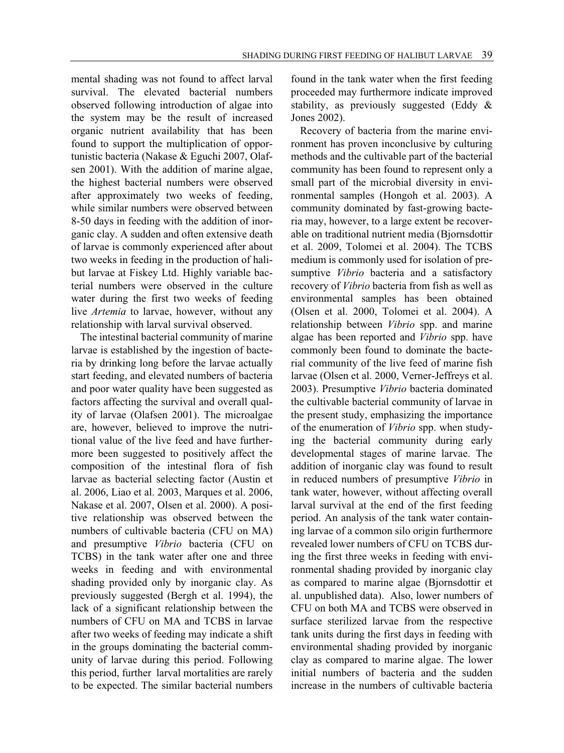mental shading was not found to affect larval survival. The elevated bacterial numbers observed following introduction of algae into the system may be the result of increased organic nutrient availability that has been found to support the multiplication of opportunistic bacteria (Nakase & Eguchi 2007, Olafsen 2001). With the addition of marine algae, the highest bacterial numbers were observed after approximately two weeks of feeding, while similar numbers were observed between 8-50 days in feeding with the addition of inorganic clay. A sudden and often extensive death of larvae is commonly experienced after about two weeks in feeding in the production of halibut larvae at Fiskey Ltd. Highly variable bacterial numbers were observed in the culture water during the first two weeks of feeding live *Artemia* to larvae, however, without any relationship with larval survival observed.

The intestinal bacterial community of marine larvae is established by the ingestion of bacteria by drinking long before the larvae actually start feeding, and elevated numbers of bacteria and poor water quality have been suggested as factors affecting the survival and overall quality of larvae (Olafsen 2001). The microalgae are, however, believed to improve the nutritional value of the live feed and have furthermore been suggested to positively affect the composition of the intestinal flora of fish larvae as bacterial selecting factor (Austin et al. 2006, Liao et al. 2003, Marques et al. 2006, Nakase et al. 2007, Olsen et al. 2000). A positive relationship was observed between the numbers of cultivable bacteria (CFU on MA) and presumptive *Vibrio* bacteria (CFU on TCBS) in the tank water after one and three weeks in feeding and with environmental shading provided only by inorganic clay. As previously suggested (Bergh et al. 1994), the lack of a significant relationship between the numbers of CFU on MA and TCBS in larvae after two weeks of feeding may indicate a shift in the groups dominating the bacterial community of larvae during this period. Following this period, further larval mortalities are rarely to be expected. The similar bacterial numbers

found in the tank water when the first feeding proceeded may furthermore indicate improved stability, as previously suggested (Eddy & Jones 2002).

Recovery of bacteria from the marine environment has proven inconclusive by culturing methods and the cultivable part of the bacterial community has been found to represent only a small part of the microbial diversity in environmental samples (Hongoh et al. 2003). A community dominated by fast-growing bacteria may, however, to a large extent be recoverable on traditional nutrient media (Bjornsdottir et al. 2009, Tolomei et al. 2004). The TCBS medium is commonly used for isolation of presumptive *Vibrio* bacteria and a satisfactory recovery of *Vibrio* bacteria from fish as well as environmental samples has been obtained (Olsen et al. 2000, Tolomei et al. 2004). A relationship between *Vibrio* spp. and marine algae has been reported and *Vibrio* spp. have commonly been found to dominate the bacterial community of the live feed of marine fish larvae (Olsen et al. 2000, Verner-Jeffreys et al. 2003). Presumptive *Vibrio* bacteria dominated the cultivable bacterial community of larvae in the present study, emphasizing the importance of the enumeration of *Vibrio* spp. when studying the bacterial community during early developmental stages of marine larvae. The addition of inorganic clay was found to result in reduced numbers of presumptive *Vibrio* in tank water, however, without affecting overall larval survival at the end of the first feeding period. An analysis of the tank water containing larvae of a common silo origin furthermore revealed lower numbers of CFU on TCBS during the first three weeks in feeding with environmental shading provided by inorganic clay as compared to marine algae (Bjornsdottir et al. unpublished data). Also, lower numbers of CFU on both MA and TCBS were observed in surface sterilized larvae from the respective tank units during the first days in feeding with environmental shading provided by inorganic clay as compared to marine algae. The lower initial numbers of bacteria and the sudden increase in the numbers of cultivable bacteria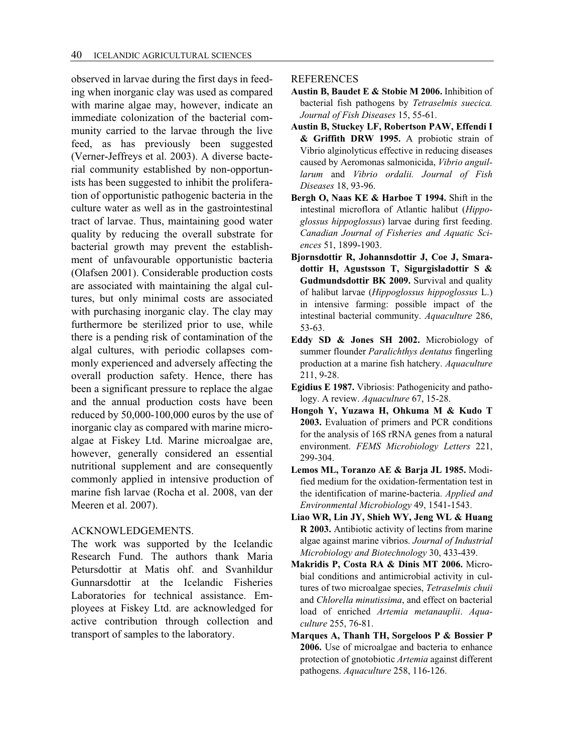observed in larvae during the first days in feeding when inorganic clay was used as compared with marine algae may, however, indicate an immediate colonization of the bacterial community carried to the larvae through the live feed, as has previously been suggested (Verner-Jeffreys et al. 2003). A diverse bacterial community established by non-opportunists has been suggested to inhibit the proliferation of opportunistic pathogenic bacteria in the culture water as well as in the gastrointestinal tract of larvae. Thus, maintaining good water quality by reducing the overall substrate for bacterial growth may prevent the establishment of unfavourable opportunistic bacteria (Olafsen 2001). Considerable production costs are associated with maintaining the algal cultures, but only minimal costs are associated with purchasing inorganic clay. The clay may furthermore be sterilized prior to use, while there is a pending risk of contamination of the algal cultures, with periodic collapses commonly experienced and adversely affecting the overall production safety. Hence, there has been a significant pressure to replace the algae and the annual production costs have been reduced by 50,000-100,000 euros by the use of inorganic clay as compared with marine microalgae at Fiskey Ltd. Marine microalgae are, however, generally considered an essential nutritional supplement and are consequently commonly applied in intensive production of marine fish larvae (Rocha et al. 2008, van der Meeren et al. 2007).

## ACKNOWLEDGEMENTS.

The work was supported by the Icelandic Research Fund. The authors thank Maria Petursdottir at Matis ohf. and Svanhildur Gunnarsdottir at the Icelandic Fisheries Laboratories for technical assistance. Employees at Fiskey Ltd. are acknowledged for active contribution through collection and transport of samples to the laboratory.

#### REFERENCES

- **Austin B, Baudet E & Stobie M 2006.** Inhibition of bacterial fish pathogens by *Tetraselmis suecica. Journal of Fish Diseases* 15, 55-61.
- **Austin B, Stuckey LF, Robertson PAW, Effendi I & Griffith DRW 1995.** A probiotic strain of Vibrio alginolyticus effective in reducing diseases caused by Aeromonas salmonicida, *Vibrio anguillarum* and *Vibrio ordalii. Journal of Fish Diseases* 18, 93-96.
- **Bergh O, Naas KE & Harboe T 1994.** Shift in the intestinal microflora of Atlantic halibut (*Hippoglossus hippoglossus*) larvae during first feeding. *Canadian Journal of Fisheries and Aquatic Sciences* 51, 1899-1903.
- **Bjornsdottir R, Johannsdottir J, Coe J, Smaradottir H, Agustsson T, Sigurgisladottir S & Gudmundsdottir BK 2009.** Survival and quality of halibut larvae (*Hippoglossus hippoglossus* L.) in intensive farming: possible impact of the intestinal bacterial community. *Aquaculture* 286, 53-63.
- **Eddy SD & Jones SH 2002.** Microbiology of summer flounder *Paralichthys dentatus* fingerling production at a marine fish hatchery. *Aquaculture*  211, 9-28.
- **Egidius E 1987.** Vibriosis: Pathogenicity and pathology. A review. *Aquaculture* 67, 15-28.
- **Hongoh Y, Yuzawa H, Ohkuma M & Kudo T 2003.** Evaluation of primers and PCR conditions for the analysis of 16S rRNA genes from a natural environment. *FEMS Microbiology Letters* 221, 299-304.
- **Lemos ML, Toranzo AE & Barja JL 1985.** Modified medium for the oxidation-fermentation test in the identification of marine-bacteria. *Applied and Environmental Microbiology* 49, 1541-1543.
- **Liao WR, Lin JY, Shieh WY, Jeng WL & Huang R 2003.** Antibiotic activity of lectins from marine algae against marine vibrios. *Journal of Industrial Microbiology and Biotechnology* 30, 433-439.
- **Makridis P, Costa RA & Dinis MT 2006.** Microbial conditions and antimicrobial activity in cultures of two microalgae species, *Tetraselmis chuii*  and *Chlorella minutissima*, and effect on bacterial load of enriched *Artemia metanauplii*. *Aquaculture* 255, 76-81.
- **Marques A, Thanh TH, Sorgeloos P & Bossier P 2006.** Use of microalgae and bacteria to enhance protection of gnotobiotic *Artemia* against different pathogens. *Aquaculture* 258, 116-126.